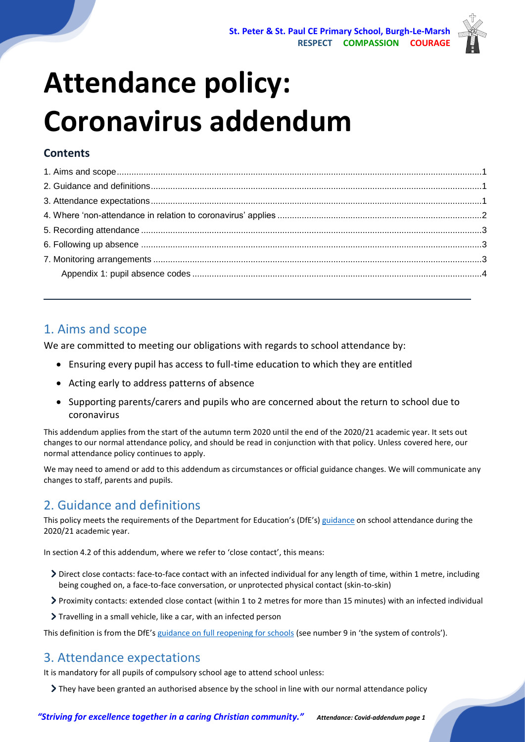

# **Attendance policy: Coronavirus addendum**

## **Contents**

## <span id="page-0-0"></span>1. Aims and scope

We are committed to meeting our obligations with regards to school attendance by:

- Ensuring every pupil has access to full-time education to which they are entitled
- Acting early to address patterns of absence
- Supporting parents/carers and pupils who are concerned about the return to school due to coronavirus

This addendum applies from the start of the autumn term 2020 until the end of the 2020/21 academic year. It sets out changes to our normal attendance policy, and should be read in conjunction with that policy. Unless covered here, our normal attendance policy continues to apply.

We may need to amend or add to this addendum as circumstances or official guidance changes. We will communicate any changes to staff, parents and pupils.

## <span id="page-0-1"></span>2. Guidance and definitions

This policy meets the requirements of the Department for Education's (DfE's) [guidance](https://www.gov.uk/government/publications/school-attendance/addendum-recording-attendance-in-relation-to-coronavirus-covid-19-during-the-2020-to-2021-academic-year) on school attendance during the 2020/21 academic year.

In section 4.2 of this addendum, where we refer to 'close contact', this means:

- Direct close contacts: face-to-face contact with an infected individual for any length of time, within 1 metre, including being coughed on, a face-to-face conversation, or unprotected physical contact (skin-to-skin)
- Proximity contacts: extended close contact (within 1 to 2 metres for more than 15 minutes) with an infected individual
- Travelling in a small vehicle, like a car, with an infected person

This definition is from the DfE's [guidance on full reopening for schools](https://www.gov.uk/government/publications/actions-for-schools-during-the-coronavirus-outbreak/guidance-for-full-opening-schools) (see number 9 in 'the system of controls').

## <span id="page-0-2"></span>3. Attendance expectations

It is mandatory for all pupils of compulsory school age to attend school unless:

They have been granted an authorised absence by the school in line with our normal attendance policy

*"Striving for excellence together in a caring Christian community." Attendance: Covid-addendum page 1*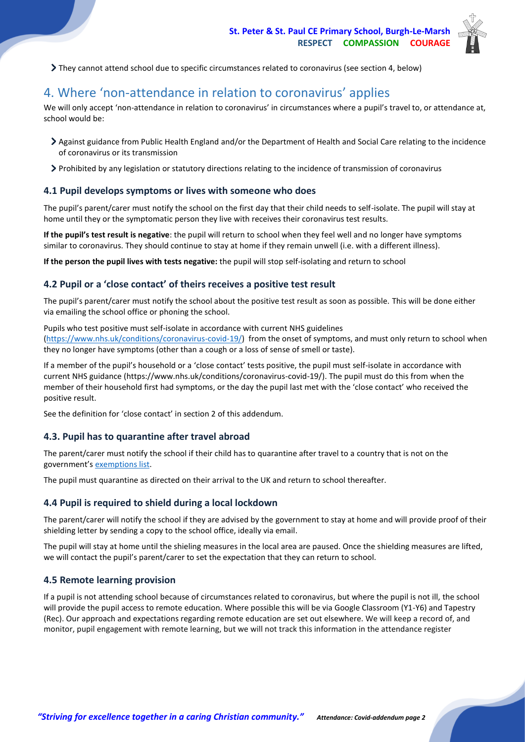

They cannot attend school due to specific circumstances related to coronavirus (see section 4, below)

## <span id="page-1-0"></span>4. Where 'non-attendance in relation to coronavirus' applies

We will only accept 'non-attendance in relation to coronavirus' in circumstances where a pupil's travel to, or attendance at, school would be:

- Against guidance from Public Health England and/or the Department of Health and Social Care relating to the incidence of coronavirus or its transmission
- Prohibited by any legislation or statutory directions relating to the incidence of transmission of coronavirus

#### **4.1 Pupil develops symptoms or lives with someone who does**

The pupil's parent/carer must notify the school on the first day that their child needs to self-isolate. The pupil will stay at home until they or the symptomatic person they live with receives their coronavirus test results.

**If the pupil's test result is negative**: the pupil will return to school when they feel well and no longer have symptoms similar to coronavirus. They should continue to stay at home if they remain unwell (i.e. with a different illness).

**If the person the pupil lives with tests negative:** the pupil will stop self-isolating and return to school

#### **4.2 Pupil or a 'close contact' of theirs receives a positive test result**

The pupil's parent/carer must notify the school about the positive test result as soon as possible. This will be done either via emailing the school office or phoning the school.

Pupils who test positive must self-isolate in accordance with current NHS guidelines [\(https://www.nhs.uk/conditions/coronavirus-covid-19/\)](https://www.nhs.uk/conditions/coronavirus-covid-19/) from the onset of symptoms, and must only return to school when they no longer have symptoms (other than a cough or a loss of sense of smell or taste).

If a member of the pupil's household or a 'close contact' tests positive, the pupil must self-isolate in accordance with current NHS guidance (https://www.nhs.uk/conditions/coronavirus-covid-19/). The pupil must do this from when the member of their household first had symptoms, or the day the pupil last met with the 'close contact' who received the positive result.

See the definition for 'close contact' in section 2 of this addendum.

#### **4.3. Pupil has to quarantine after travel abroad**

The parent/carer must notify the school if their child has to quarantine after travel to a country that is not on the government's [exemptions](https://www.gov.uk/guidance/coronavirus-covid-19-travel-corridors#countries-and-territories-with-no-self-isolation-requirement-on-arrival-in-england) list.

The pupil must quarantine as directed on their arrival to the UK and return to school thereafter.

#### **4.4 Pupil is required to shield during a local lockdown**

The parent/carer will notify the school if they are advised by the government to stay at home and will provide proof of their shielding letter by sending a copy to the school office, ideally via email.

The pupil will stay at home until the shieling measures in the local area are paused. Once the shielding measures are lifted, we will contact the pupil's parent/carer to set the expectation that they can return to school.

#### **4.5 Remote learning provision**

If a pupil is not attending school because of circumstances related to coronavirus, but where the pupil is not ill, the school will provide the pupil access to remote education. Where possible this will be via Google Classroom (Y1-Y6) and Tapestry (Rec). Our approach and expectations regarding remote education are set out elsewhere. We will keep a record of, and monitor, pupil engagement with remote learning, but we will not track this information in the attendance register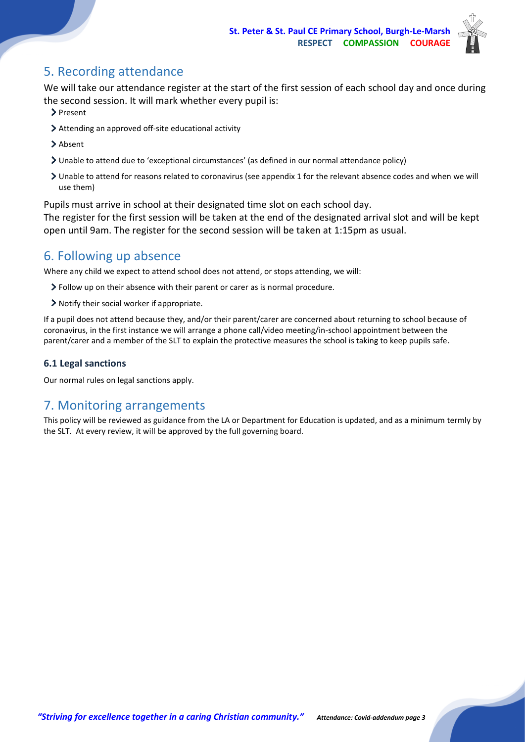

## <span id="page-2-0"></span>5. Recording attendance

We will take our attendance register at the start of the first session of each school day and once during the second session. It will mark whether every pupil is:

- > Present
- Attending an approved off-site educational activity
- > Absent
- Unable to attend due to 'exceptional circumstances' (as defined in our normal attendance policy)
- Unable to attend for reasons related to coronavirus (see appendix 1 for the relevant absence codes and when we will use them)

Pupils must arrive in school at their designated time slot on each school day.

The register for the first session will be taken at the end of the designated arrival slot and will be kept open until 9am. The register for the second session will be taken at 1:15pm as usual.

## <span id="page-2-1"></span>6. Following up absence

Where any child we expect to attend school does not attend, or stops attending, we will:

- Follow up on their absence with their parent or carer as is normal procedure.
- Notify their social worker if appropriate.

If a pupil does not attend because they, and/or their parent/carer are concerned about returning to school because of coronavirus, in the first instance we will arrange a phone call/video meeting/in-school appointment between the parent/carer and a member of the SLT to explain the protective measures the school is taking to keep pupils safe.

#### **6.1 Legal sanctions**

Our normal rules on legal sanctions apply.

## <span id="page-2-2"></span>7. Monitoring arrangements

<span id="page-2-3"></span>This policy will be reviewed as guidance from the LA or Department for Education is updated, and as a minimum termly by the SLT. At every review, it will be approved by the full governing board.